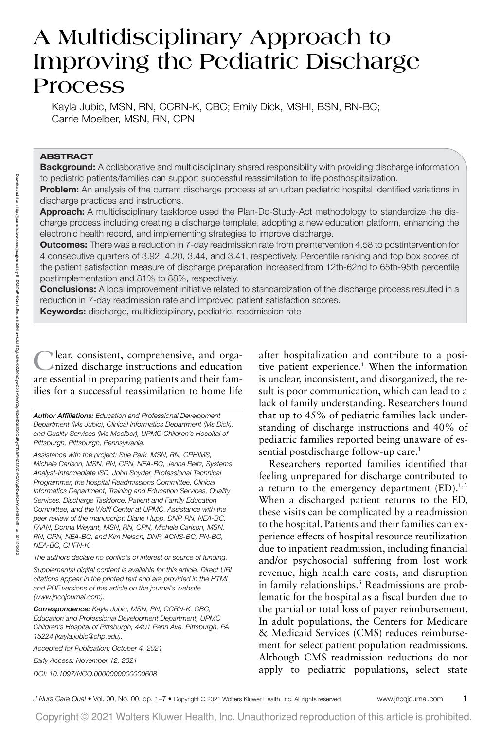# **A Multidisciplinary Approach to Improving the Pediatric Discharge Process**

Kayla Jubic, MSN, RN, CCRN-K, CBC; Emily Dick, MSHI, BSN, RN-BC; Carrie Moelber, MSN, RN, CPN

## **ABSTRACT**

**Background:** A collaborative and multidisciplinary shared responsibility with providing discharge information to pediatric patients/families can support successful reassimilation to life posthospitalization.

**Problem:** An analysis of the current discharge process at an urban pediatric hospital identified variations in discharge practices and instructions.

**Approach:** A multidisciplinary taskforce used the Plan-Do-Study-Act methodology to standardize the discharge process including creating a discharge template, adopting a new education platform, enhancing the electronic health record, and implementing strategies to improve discharge.

**Outcomes:** There was a reduction in 7-day readmission rate from preintervention 4.58 to postintervention for 4 consecutive quarters of 3.92, 4.20, 3.44, and 3.41, respectively. Percentile ranking and top box scores of the patient satisfaction measure of discharge preparation increased from 12th-62nd to 65th-95th percentile postimplementation and 81% to 88%, respectively.

**Conclusions:** A local improvement initiative related to standardization of the discharge process resulted in a reduction in 7-day readmission rate and improved patient satisfaction scores.

**Keywords:** discharge, multidisciplinary, pediatric, readmission rate

**C**lear, consistent, comprehensive, and organized discharge instructions and education are essential in preparing patients and their families for a successful reassimilation to home life

*Author Affiliations:* Education and Professional Development Department (Ms Jubic), Clinical Informatics Department (Ms Dick), and Quality Services (Ms Moelber), UPMC Children's Hospital of Pittsburgh, Pittsburgh, Pennsylvania.

Assistance with the project: Sue Park, MSN, RN, CPHIMS, Michele Carlson, MSN, RN, CPN, NEA-BC, Jenna Reitz, Systems Analyst-Intermediate ISD, John Snyder, Professional Technical Programmer, the hospital Readmissions Committee, Clinical Informatics Department, Training and Education Services, Quality Services, Discharge Taskforce, Patient and Family Education Committee, and the Wolff Center at UPMC. Assistance with the peer review of the manuscript: Diane Hupp, DNP, RN, NEA-BC, FAAN, Donna Weyant, MSN, RN, CPN, Michele Carlson, MSN, RN, CPN, NEA-BC, and Kim Nelson, DNP, ACNS-BC, RN-BC, NEA-BC, CHFN-K.

The authors declare no conflicts of interest or source of funding.

Supplemental digital content is available for this article. Direct URL citations appear in the printed text and are provided in the HTML and PDF versions of this article on the journal's website [\(www.jncqjournal.com\)](mailto:www.jncqjournal.com).

*Correspondence:* Kayla Jubic, MSN, RN, CCRN-K, CBC, Education and Professional Development Department, UPMC Children's Hospital of Pittsburgh, 4401 Penn Ave, Pittsburgh, PA 15224 [\(kayla.jubic@chp.edu\).](mailto:kayla.jubic@chp.edu).)

Accepted for Publication: October 4, 2021

Early Access: November 12, 2021

DOI: 10.1097/NCQ.0000000000000608

after hospitalization and contribute to a positive patient experience.<sup>1</sup> When the information is unclear, inconsistent, and disorganized, the result is poor communication, which can lead to a lack of family understanding. Researchers found that up to 45% of pediatric families lack understanding of discharge instructions and 40% of pediatric families reported being unaware of essential postdischarge follow-up care.<sup>1</sup>

Researchers reported families identified that feeling unprepared for discharge contributed to a return to the emergency department  $(ED).^{1,2}$ When a discharged patient returns to the ED, these visits can be complicated by a readmission to the hospital. Patients and their families can experience effects of hospital resource reutilization due to inpatient readmission, including financial and/or psychosocial suffering from lost work revenue, high health care costs, and disruption in family relationships.3 Readmissions are problematic for the hospital as a fiscal burden due to the partial or total loss of payer reimbursement. In adult populations, the Centers for Medicare & Medicaid Services (CMS) reduces reimbursement for select patient population readmissions. Although CMS readmission reductions do not apply to pediatric populations, select state

J Nurs Care Qual • Vol. 00, No. 00, pp. 1–7 • Copyright © 2021 Wolters Kluwer Health, Inc. All rights reserved. www.jncqjournal.com **1**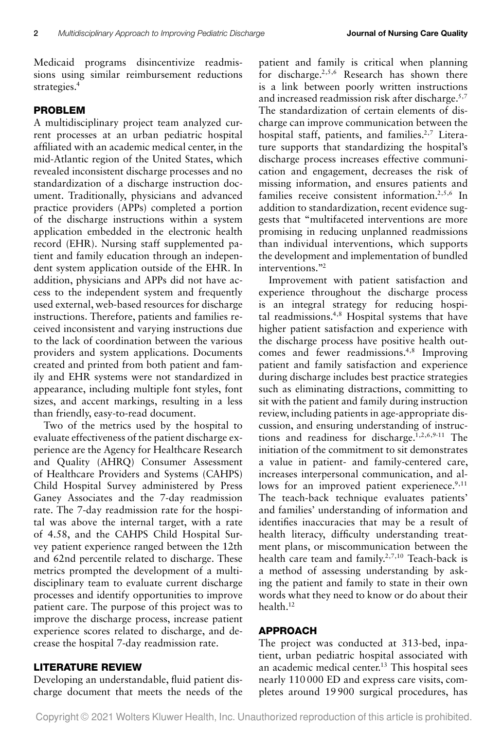Medicaid programs disincentivize readmissions using similar reimbursement reductions strategies.<sup>4</sup>

# **PROBLEM**

A multidisciplinary project team analyzed current processes at an urban pediatric hospital affiliated with an academic medical center, in the mid-Atlantic region of the United States, which revealed inconsistent discharge processes and no standardization of a discharge instruction document. Traditionally, physicians and advanced practice providers (APPs) completed a portion of the discharge instructions within a system application embedded in the electronic health record (EHR). Nursing staff supplemented patient and family education through an independent system application outside of the EHR. In addition, physicians and APPs did not have access to the independent system and frequently used external, web-based resources for discharge instructions. Therefore, patients and families received inconsistent and varying instructions due to the lack of coordination between the various providers and system applications. Documents created and printed from both patient and family and EHR systems were not standardized in appearance, including multiple font styles, font sizes, and accent markings, resulting in a less than friendly, easy-to-read document.

Two of the metrics used by the hospital to evaluate effectiveness of the patient discharge experience are the Agency for Healthcare Research and Quality (AHRQ) Consumer Assessment of Healthcare Providers and Systems (CAHPS) Child Hospital Survey administered by Press Ganey Associates and the 7-day readmission rate. The 7-day readmission rate for the hospital was above the internal target, with a rate of 4.58, and the CAHPS Child Hospital Survey patient experience ranged between the 12th and 62nd percentile related to discharge. These metrics prompted the development of a multidisciplinary team to evaluate current discharge processes and identify opportunities to improve patient care. The purpose of this project was to improve the discharge process, increase patient experience scores related to discharge, and decrease the hospital 7-day readmission rate.

## **LITERATURE REVIEW**

Developing an understandable, fluid patient discharge document that meets the needs of the patient and family is critical when planning for discharge.2,5,6 Research has shown there is a link between poorly written instructions and increased readmission risk after discharge.<sup>5,7</sup> The standardization of certain elements of discharge can improve communication between the hospital staff, patients, and families.<sup>2,7</sup> Literature supports that standardizing the hospital's discharge process increases effective communication and engagement, decreases the risk of missing information, and ensures patients and families receive consistent information.2,5,6 In addition to standardization, recent evidence suggests that "multifaceted interventions are more promising in reducing unplanned readmissions than individual interventions, which supports the development and implementation of bundled interventions."2

Improvement with patient satisfaction and experience throughout the discharge process is an integral strategy for reducing hospital readmissions.4,8 Hospital systems that have higher patient satisfaction and experience with the discharge process have positive health outcomes and fewer readmissions.4,8 Improving patient and family satisfaction and experience during discharge includes best practice strategies such as eliminating distractions, committing to sit with the patient and family during instruction review, including patients in age-appropriate discussion, and ensuring understanding of instructions and readiness for discharge.1,2,6,9-11 The initiation of the commitment to sit demonstrates a value in patient- and family-centered care, increases interpersonal communication, and allows for an improved patient experienece.<sup>9,11</sup> The teach-back technique evaluates patients' and families' understanding of information and identifies inaccuracies that may be a result of health literacy, difficulty understanding treatment plans, or miscommunication between the health care team and family.<sup>2,7,10</sup> Teach-back is a method of assessing understanding by asking the patient and family to state in their own words what they need to know or do about their health.12

# **APPROACH**

The project was conducted at 313-bed, inpatient, urban pediatric hospital associated with an academic medical center.13 This hospital sees nearly 110 000 ED and express care visits, completes around 19 900 surgical procedures, has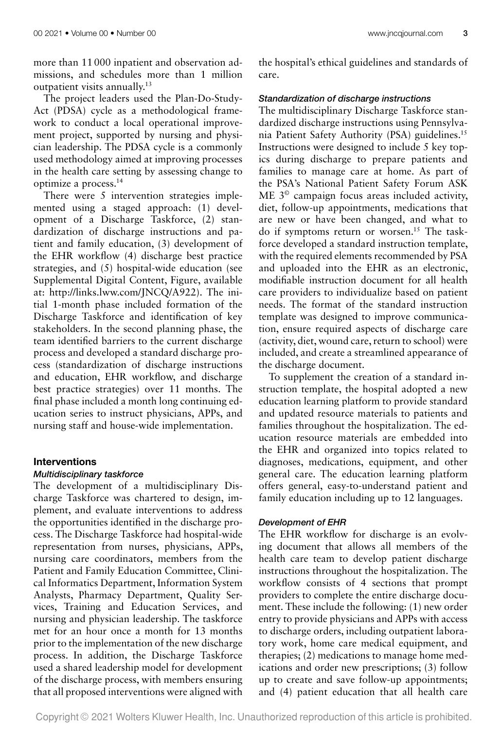more than 11 000 inpatient and observation admissions, and schedules more than 1 million outpatient visits annually.<sup>13</sup>

The project leaders used the Plan-Do-Study-Act (PDSA) cycle as a methodological framework to conduct a local operational improvement project, supported by nursing and physician leadership. The PDSA cycle is a commonly used methodology aimed at improving processes in the health care setting by assessing change to optimize a process.14

There were 5 intervention strategies implemented using a staged approach: (1) development of a Discharge Taskforce, (2) standardization of discharge instructions and patient and family education, (3) development of the EHR workflow (4) discharge best practice strategies, and (5) hospital-wide education (see Supplemental Digital Content, Figure, available at: [http://links.lww.com/JNCQ/A922\)](http://links.lww.com/JNCQ/A922). The initial 1-month phase included formation of the Discharge Taskforce and identification of key stakeholders. In the second planning phase, the team identified barriers to the current discharge process and developed a standard discharge process (standardization of discharge instructions and education, EHR workflow, and discharge best practice strategies) over 11 months. The final phase included a month long continuing education series to instruct physicians, APPs, and nursing staff and house-wide implementation.

#### **Interventions**

#### *Multidisciplinary taskforce*

The development of a multidisciplinary Discharge Taskforce was chartered to design, implement, and evaluate interventions to address the opportunities identified in the discharge process. The Discharge Taskforce had hospital-wide representation from nurses, physicians, APPs, nursing care coordinators, members from the Patient and Family Education Committee, Clinical Informatics Department, Information System Analysts, Pharmacy Department, Quality Services, Training and Education Services, and nursing and physician leadership. The taskforce met for an hour once a month for 13 months prior to the implementation of the new discharge process. In addition, the Discharge Taskforce used a shared leadership model for development of the discharge process, with members ensuring that all proposed interventions were aligned with the hospital's ethical guidelines and standards of care.

#### *Standardization of discharge instructions*

The multidisciplinary Discharge Taskforce standardized discharge instructions using Pennsylvania Patient Safety Authority (PSA) guidelines.15 Instructions were designed to include 5 key topics during discharge to prepare patients and families to manage care at home. As part of the PSA's National Patient Safety Forum ASK ME 3<sup>©</sup> campaign focus areas included activity, diet, follow-up appointments, medications that are new or have been changed, and what to do if symptoms return or worsen.<sup>15</sup> The taskforce developed a standard instruction template, with the required elements recommended by PSA and uploaded into the EHR as an electronic, modifiable instruction document for all health care providers to individualize based on patient needs. The format of the standard instruction template was designed to improve communication, ensure required aspects of discharge care (activity, diet, wound care, return to school) were included, and create a streamlined appearance of the discharge document.

To supplement the creation of a standard instruction template, the hospital adopted a new education learning platform to provide standard and updated resource materials to patients and families throughout the hospitalization. The education resource materials are embedded into the EHR and organized into topics related to diagnoses, medications, equipment, and other general care. The education learning platform offers general, easy-to-understand patient and family education including up to 12 languages.

## *Development of EHR*

The EHR workflow for discharge is an evolving document that allows all members of the health care team to develop patient discharge instructions throughout the hospitalization. The workflow consists of 4 sections that prompt providers to complete the entire discharge document. These include the following: (1) new order entry to provide physicians and APPs with access to discharge orders, including outpatient laboratory work, home care medical equipment, and therapies; (2) medications to manage home medications and order new prescriptions; (3) follow up to create and save follow-up appointments; and (4) patient education that all health care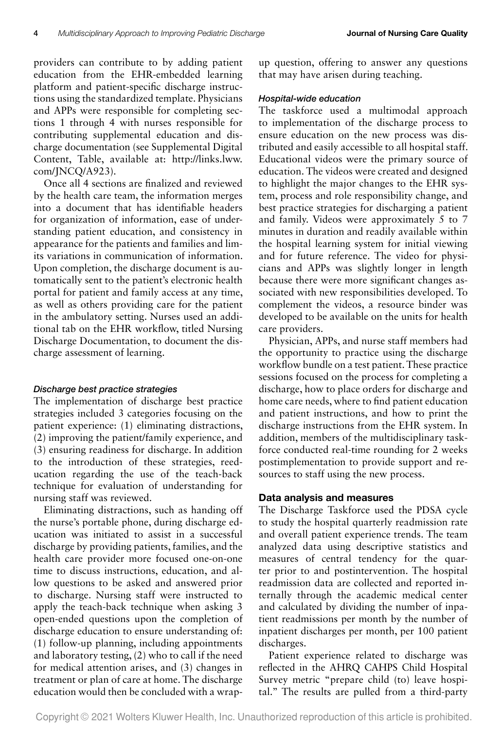providers can contribute to by adding patient education from the EHR-embedded learning platform and patient-specific discharge instructions using the standardized template. Physicians and APPs were responsible for completing sections 1 through 4 with nurses responsible for contributing supplemental education and discharge documentation (see Supplemental Digital [Content, Table, available at: http://links.lww.](http://links.lww.com/JNCQ/A923) com/JNCQ/A923).

Once all 4 sections are finalized and reviewed by the health care team, the information merges into a document that has identifiable headers for organization of information, ease of understanding patient education, and consistency in appearance for the patients and families and limits variations in communication of information. Upon completion, the discharge document is automatically sent to the patient's electronic health portal for patient and family access at any time, as well as others providing care for the patient in the ambulatory setting. Nurses used an additional tab on the EHR workflow, titled Nursing Discharge Documentation, to document the discharge assessment of learning.

## *Discharge best practice strategies*

The implementation of discharge best practice strategies included 3 categories focusing on the patient experience: (1) eliminating distractions, (2) improving the patient/family experience, and (3) ensuring readiness for discharge. In addition to the introduction of these strategies, reeducation regarding the use of the teach-back technique for evaluation of understanding for nursing staff was reviewed.

Eliminating distractions, such as handing off the nurse's portable phone, during discharge education was initiated to assist in a successful discharge by providing patients, families, and the health care provider more focused one-on-one time to discuss instructions, education, and allow questions to be asked and answered prior to discharge. Nursing staff were instructed to apply the teach-back technique when asking 3 open-ended questions upon the completion of discharge education to ensure understanding of: (1) follow-up planning, including appointments and laboratory testing, (2) who to call if the need for medical attention arises, and (3) changes in treatment or plan of care at home. The discharge education would then be concluded with a wrapup question, offering to answer any questions that may have arisen during teaching.

#### *Hospital-wide education*

The taskforce used a multimodal approach to implementation of the discharge process to ensure education on the new process was distributed and easily accessible to all hospital staff. Educational videos were the primary source of education. The videos were created and designed to highlight the major changes to the EHR system, process and role responsibility change, and best practice strategies for discharging a patient and family. Videos were approximately 5 to 7 minutes in duration and readily available within the hospital learning system for initial viewing and for future reference. The video for physicians and APPs was slightly longer in length because there were more significant changes associated with new responsibilities developed. To complement the videos, a resource binder was developed to be available on the units for health care providers.

Physician, APPs, and nurse staff members had the opportunity to practice using the discharge workflow bundle on a test patient. These practice sessions focused on the process for completing a discharge, how to place orders for discharge and home care needs, where to find patient education and patient instructions, and how to print the discharge instructions from the EHR system. In addition, members of the multidisciplinary taskforce conducted real-time rounding for 2 weeks postimplementation to provide support and resources to staff using the new process.

## **Data analysis and measures**

The Discharge Taskforce used the PDSA cycle to study the hospital quarterly readmission rate and overall patient experience trends. The team analyzed data using descriptive statistics and measures of central tendency for the quarter prior to and postintervention. The hospital readmission data are collected and reported internally through the academic medical center and calculated by dividing the number of inpatient readmissions per month by the number of inpatient discharges per month, per 100 patient discharges.

Patient experience related to discharge was reflected in the AHRQ CAHPS Child Hospital Survey metric "prepare child (to) leave hospital." The results are pulled from a third-party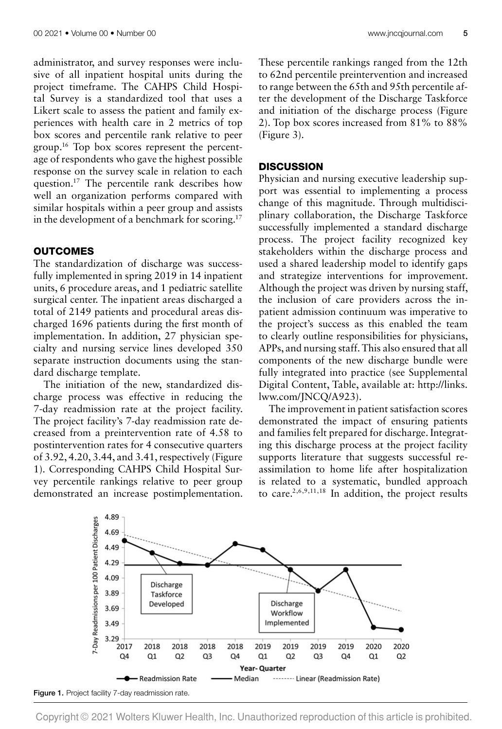administrator, and survey responses were inclusive of all inpatient hospital units during the project timeframe. The CAHPS Child Hospital Survey is a standardized tool that uses a Likert scale to assess the patient and family experiences with health care in 2 metrics of top box scores and percentile rank relative to peer group.16 Top box scores represent the percentage of respondents who gave the highest possible response on the survey scale in relation to each question.17 The percentile rank describes how well an organization performs compared with similar hospitals within a peer group and assists in the development of a benchmark for scoring.<sup>17</sup>

## **OUTCOMES**

The standardization of discharge was successfully implemented in spring 2019 in 14 inpatient units, 6 procedure areas, and 1 pediatric satellite surgical center. The inpatient areas discharged a total of 2149 patients and procedural areas discharged 1696 patients during the first month of implementation. In addition, 27 physician specialty and nursing service lines developed 350 separate instruction documents using the standard discharge template.

The initiation of the new, standardized discharge process was effective in reducing the 7-day readmission rate at the project facility. The project facility's 7-day readmission rate decreased from a preintervention rate of 4.58 to postintervention rates for 4 consecutive quarters of 3.92, 4.20, 3.44, and 3.41, respectively (Figure 1). Corresponding CAHPS Child Hospital Survey percentile rankings relative to peer group demonstrated an increase postimplementation. These percentile rankings ranged from the 12th to 62nd percentile preintervention and increased to range between the 65th and 95th percentile after the development of the Discharge Taskforce and initiation of the discharge process (Figure 2). Top box scores increased from 81% to 88% (Figure 3).

#### **DISCUSSION**

Physician and nursing executive leadership support was essential to implementing a process change of this magnitude. Through multidisciplinary collaboration, the Discharge Taskforce successfully implemented a standard discharge process. The project facility recognized key stakeholders within the discharge process and used a shared leadership model to identify gaps and strategize interventions for improvement. Although the project was driven by nursing staff, the inclusion of care providers across the inpatient admission continuum was imperative to the project's success as this enabled the team to clearly outline responsibilities for physicians, APPs, and nursing staff. This also ensured that all components of the new discharge bundle were fully integrated into practice (see Supplemental [Digital Content, Table, available at: http://links.](http://links.lww.com/JNCQ/A923) lww.com/JNCQ/A923).

The improvement in patient satisfaction scores demonstrated the impact of ensuring patients and families felt prepared for discharge. Integrating this discharge process at the project facility supports literature that suggests successful reassimilation to home life after hospitalization is related to a systematic, bundled approach to care.<sup>2,6,9,11,18</sup> In addition, the project results



**Figure 1.** Project facility 7-day readmission rate.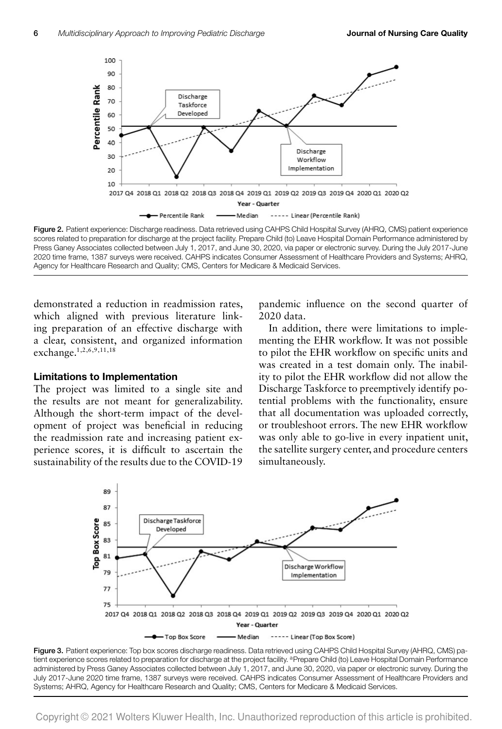

**Figure 2.** Patient experience: Discharge readiness. Data retrieved using CAHPS Child Hospital Survey (AHRQ, CMS) patient experience scores related to preparation for discharge at the project facility. Prepare Child (to) Leave Hospital Domain Performance administered by Press Ganey Associates collected between July 1, 2017, and June 30, 2020, via paper or electronic survey. During the July 2017-June 2020 time frame, 1387 surveys were received. CAHPS indicates Consumer Assessment of Healthcare Providers and Systems; AHRQ, Agency for Healthcare Research and Quality; CMS, Centers for Medicare & Medicaid Services.

demonstrated a reduction in readmission rates, which aligned with previous literature linking preparation of an effective discharge with a clear, consistent, and organized information exchange.1,2,6,9,11,18

#### **Limitations to Implementation**

The project was limited to a single site and the results are not meant for generalizability. Although the short-term impact of the development of project was beneficial in reducing the readmission rate and increasing patient experience scores, it is difficult to ascertain the sustainability of the results due to the COVID-19 pandemic influence on the second quarter of 2020 data.

In addition, there were limitations to implementing the EHR workflow. It was not possible to pilot the EHR workflow on specific units and was created in a test domain only. The inability to pilot the EHR workflow did not allow the Discharge Taskforce to preemptively identify potential problems with the functionality, ensure that all documentation was uploaded correctly, or troubleshoot errors. The new EHR workflow was only able to go-live in every inpatient unit, the satellite surgery center, and procedure centers simultaneously.



**Figure 3.** Patient experience: Top box scores discharge readiness. Data retrieved using CAHPS Child Hospital Survey (AHRQ, CMS) patient experience scores related to preparation for discharge at the project facility. <sup>a</sup>Prepare Child (to) Leave Hospital Domain Performance administered by Press Ganey Associates collected between July 1, 2017, and June 30, 2020, via paper or electronic survey. During the July 2017-June 2020 time frame, 1387 surveys were received. CAHPS indicates Consumer Assessment of Healthcare Providers and Systems; AHRQ, Agency for Healthcare Research and Quality; CMS, Centers for Medicare & Medicaid Services.